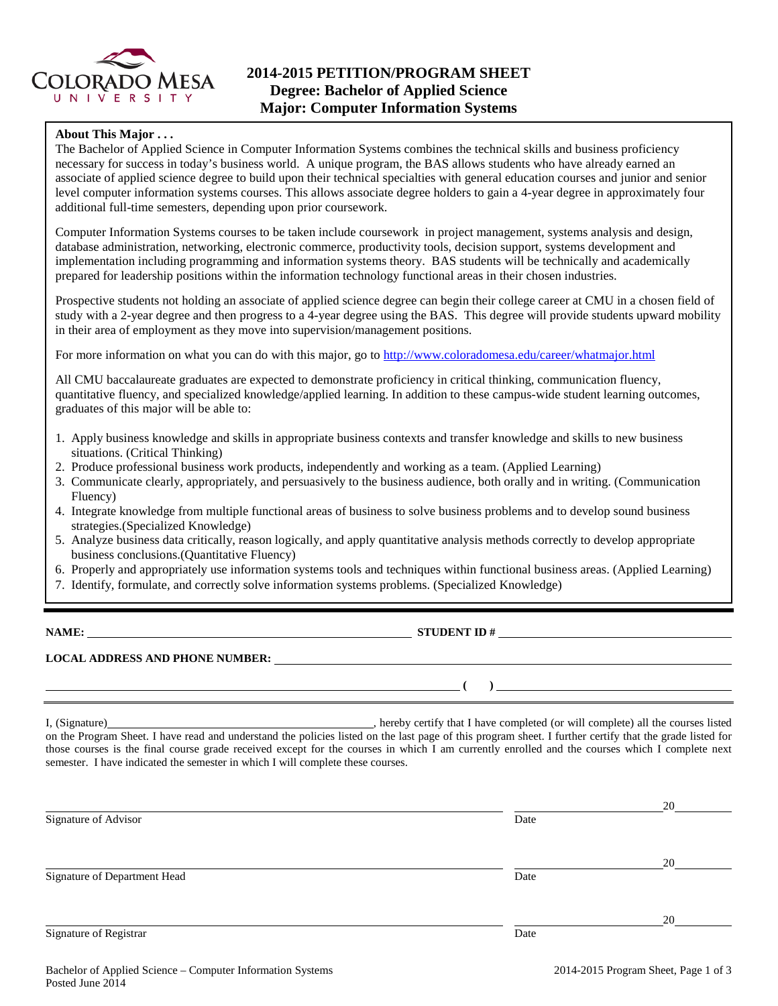

# **2014-2015 PETITION/PROGRAM SHEET Degree: Bachelor of Applied Science Major: Computer Information Systems**

# **About This Major . . .**

The Bachelor of Applied Science in Computer Information Systems combines the technical skills and business proficiency necessary for success in today's business world. A unique program, the BAS allows students who have already earned an associate of applied science degree to build upon their technical specialties with general education courses and junior and senior level computer information systems courses. This allows associate degree holders to gain a 4-year degree in approximately four additional full-time semesters, depending upon prior coursework.

Computer Information Systems courses to be taken include coursework in project management, systems analysis and design, database administration, networking, electronic commerce, productivity tools, decision support, systems development and implementation including programming and information systems theory. BAS students will be technically and academically prepared for leadership positions within the information technology functional areas in their chosen industries.

Prospective students not holding an associate of applied science degree can begin their college career at CMU in a chosen field of study with a 2-year degree and then progress to a 4-year degree using the BAS. This degree will provide students upward mobility in their area of employment as they move into supervision/management positions.

For more information on what you can do with this major, go to<http://www.coloradomesa.edu/career/whatmajor.html>

All CMU baccalaureate graduates are expected to demonstrate proficiency in critical thinking, communication fluency, quantitative fluency, and specialized knowledge/applied learning. In addition to these campus-wide student learning outcomes, graduates of this major will be able to:

- 1. Apply business knowledge and skills in appropriate business contexts and transfer knowledge and skills to new business situations. (Critical Thinking)
- 2. Produce professional business work products, independently and working as a team. (Applied Learning)
- 3. Communicate clearly, appropriately, and persuasively to the business audience, both orally and in writing. (Communication Fluency)
- 4. Integrate knowledge from multiple functional areas of business to solve business problems and to develop sound business strategies.(Specialized Knowledge)
- 5. Analyze business data critically, reason logically, and apply quantitative analysis methods correctly to develop appropriate business conclusions.(Quantitative Fluency)
- 6. Properly and appropriately use information systems tools and techniques within functional business areas. (Applied Learning)
- 7. Identify, formulate, and correctly solve information systems problems. (Specialized Knowledge)

**STUDENT ID #** 

**( )** 

# **LOCAL ADDRESS AND PHONE NUMBER:**

I, (Signature) **Source 2020** , hereby certify that I have completed (or will complete) all the courses listed on the Program Sheet. I have read and understand the policies listed on the last page of this program sheet. I further certify that the grade listed for those courses is the final course grade received except for the courses in which I am currently enrolled and the courses which I complete next semester. I have indicated the semester in which I will complete these courses.

| Signature of Advisor         | Date | 20 |
|------------------------------|------|----|
| Signature of Department Head | Date | 20 |
| Signature of Registrar       | Date | 20 |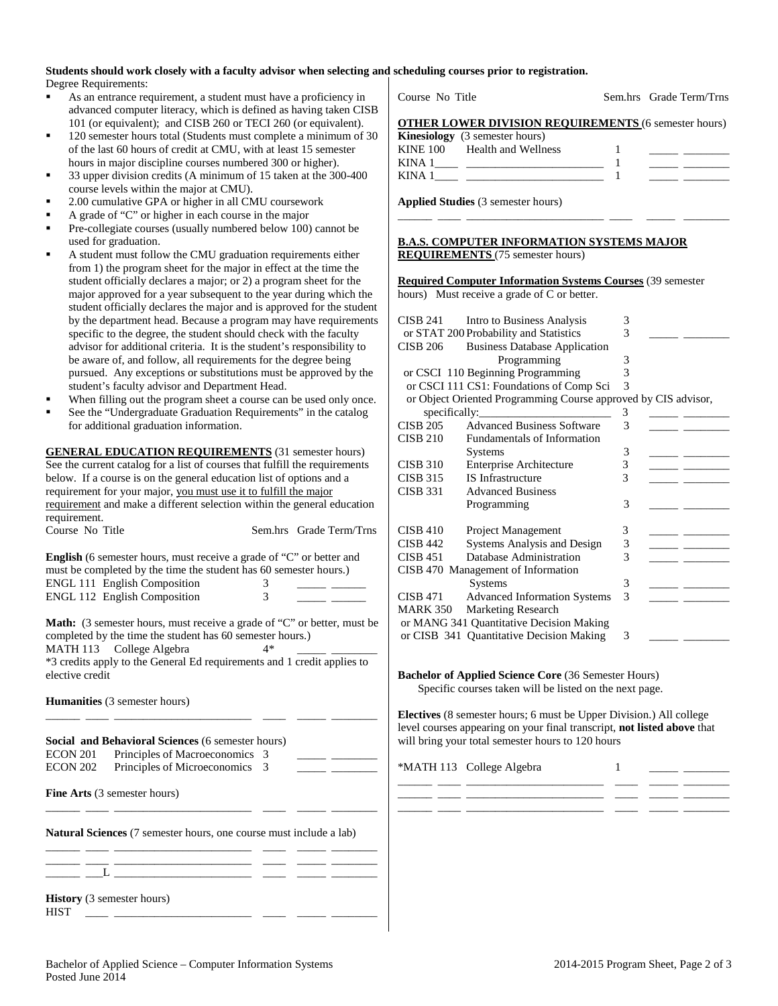### **Students should work closely with a faculty advisor when selecting and scheduling courses prior to registration.**  Degree Requirements:

- As an entrance requirement, a student must have a proficiency in advanced computer literacy, which is defined as having taken CISB 101 (or equivalent); and CISB 260 or TECI 260 (or equivalent).
- 120 semester hours total (Students must complete a minimum of 30 of the last 60 hours of credit at CMU, with at least 15 semester hours in major discipline courses numbered 300 or higher).
- 33 upper division credits (A minimum of 15 taken at the 300-400 course levels within the major at CMU).
- 2.00 cumulative GPA or higher in all CMU coursework
- A grade of "C" or higher in each course in the major
- Pre-collegiate courses (usually numbered below 100) cannot be used for graduation.
- A student must follow the CMU graduation requirements either from 1) the program sheet for the major in effect at the time the student officially declares a major; or 2) a program sheet for the major approved for a year subsequent to the year during which the student officially declares the major and is approved for the student by the department head. Because a program may have requirements specific to the degree, the student should check with the faculty advisor for additional criteria. It is the student's responsibility to be aware of, and follow, all requirements for the degree being pursued. Any exceptions or substitutions must be approved by the student's faculty advisor and Department Head.
- When filling out the program sheet a course can be used only once.
- See the "Undergraduate Graduation Requirements" in the catalog for additional graduation information.

**GENERAL EDUCATION REQUIREMENTS** (31 semester hours) See the current catalog for a list of courses that fulfill the requirements below. If a course is on the general education list of options and a requirement for your major, you must use it to fulfill the major requirement and make a different selection within the general education requirement.

| Course No Title |                                                                                                                                                                                                                                                    |        | Sem.hrs Grade Term/Trns |
|-----------------|----------------------------------------------------------------------------------------------------------------------------------------------------------------------------------------------------------------------------------------------------|--------|-------------------------|
|                 | <b>English</b> (6 semester hours, must receive a grade of "C" or better and<br>must be completed by the time the student has 60 semester hours.)<br><b>ENGL 111 English Composition</b><br>ENGL 112 English Composition                            | 3<br>3 |                         |
| elective credit | <b>Math:</b> (3 semester hours, must receive a grade of "C" or better, must be<br>completed by the time the student has 60 semester hours.)<br>MATH 113 College Algebra<br>*3 credits apply to the General Ed requirements and 1 credit applies to | $4*$   |                         |
|                 | <b>Humanities</b> (3 semester hours)                                                                                                                                                                                                               |        |                         |
| ECON 201        | Social and Behavioral Sciences (6 semester hours)                                                                                                                                                                                                  |        |                         |
| ECON 202        | Principles of Macroeconomics 3<br>Principles of Microeconomics                                                                                                                                                                                     | 3      |                         |
|                 | <b>Fine Arts</b> (3 semester hours)                                                                                                                                                                                                                |        |                         |
|                 | <b>Natural Sciences</b> (7 semester hours, one course must include a lab)                                                                                                                                                                          |        |                         |
|                 |                                                                                                                                                                                                                                                    |        | ____                    |

**History** (3 semester hours)  $HIST \quad \_\_\_\_\_\_$ 

| Course No Title |  |  |
|-----------------|--|--|

Course No Title Sem.hrs Grade Term/Trns

#### **OTHER LOWER DIVISION REQUIREMENTS** (6 semester hours) **Kinesiology** (3 semester hours)

|       | ----------- <u>-</u> \* **---***********/ |  |  |
|-------|-------------------------------------------|--|--|
|       | KINE 100 Health and Wellness              |  |  |
| KINA. |                                           |  |  |
| KIN A |                                           |  |  |

\_\_\_\_\_\_ \_\_\_\_ \_\_\_\_\_\_\_\_\_\_\_\_\_\_\_\_\_\_\_\_\_\_\_\_ \_\_\_\_ \_\_\_\_\_ \_\_\_\_\_\_\_\_

**Applied Studies** (3 semester hours)

### **B.A.S. COMPUTER INFORMATION SYSTEMS MAJOR REQUIREMENTS** (75 semester hours)

**Required Computer Information Systems Courses** (39 semester hours) Must receive a grade of C or better.

| CISB 241                                 | Intro to Business Analysis                                     | 3 |  |
|------------------------------------------|----------------------------------------------------------------|---|--|
|                                          | or STAT 200 Probability and Statistics                         | 3 |  |
| <b>CISB 206</b>                          | <b>Business Database Application</b>                           |   |  |
|                                          | Programming                                                    | 3 |  |
|                                          | or CSCI 110 Beginning Programming                              | 3 |  |
|                                          | or CSCI 111 CS1: Foundations of Comp Sci                       | 3 |  |
|                                          | or Object Oriented Programming Course approved by CIS advisor, |   |  |
|                                          | specifically:                                                  | 3 |  |
| CISB 205                                 | <b>Advanced Business Software</b>                              | 3 |  |
| <b>CISB 210</b>                          | Fundamentals of Information                                    |   |  |
|                                          | Systems                                                        | 3 |  |
| <b>CISB 310</b>                          | Enterprise Architecture                                        | 3 |  |
| <b>CISB 315</b>                          | IS Infrastructure                                              | 3 |  |
| <b>CISB 331</b>                          | <b>Advanced Business</b>                                       |   |  |
|                                          | Programming                                                    | 3 |  |
|                                          |                                                                |   |  |
| <b>CISB 410</b>                          | Project Management                                             | 3 |  |
| <b>CISB 442</b>                          | Systems Analysis and Design                                    | 3 |  |
| <b>CISB 451</b>                          | Database Administration                                        | 3 |  |
|                                          | CISB 470 Management of Information                             |   |  |
|                                          | <b>Systems</b>                                                 | 3 |  |
| CISB 471                                 | <b>Advanced Information Systems</b>                            | 3 |  |
| MARK 350                                 | Marketing Research                                             |   |  |
| or MANG 341 Quantitative Decision Making |                                                                |   |  |
|                                          | or CISB 341 Quantitative Decision Making                       | 3 |  |
|                                          |                                                                |   |  |

**Bachelor of Applied Science Core** (36 Semester Hours) Specific courses taken will be listed on the next page.

**Electives** (8 semester hours; 6 must be Upper Division.) All college level courses appearing on your final transcript, **not listed above** that will bring your total semester hours to 120 hours

\_\_\_\_\_\_ \_\_\_\_ \_\_\_\_\_\_\_\_\_\_\_\_\_\_\_\_\_\_\_\_\_\_\_\_ \_\_\_\_ \_\_\_\_\_ \_\_\_\_\_\_\_\_ \_\_\_\_\_\_ \_\_\_\_ \_\_\_\_\_\_\_\_\_\_\_\_\_\_\_\_\_\_\_\_\_\_\_\_ \_\_\_\_ \_\_\_\_\_ \_\_\_\_\_\_\_\_ \_\_\_\_\_\_ \_\_\_\_ \_\_\_\_\_\_\_\_\_\_\_\_\_\_\_\_\_\_\_\_\_\_\_\_ \_\_\_\_ \_\_\_\_\_ \_\_\_\_\_\_\_\_

\*MATH 113 College Algebra 1